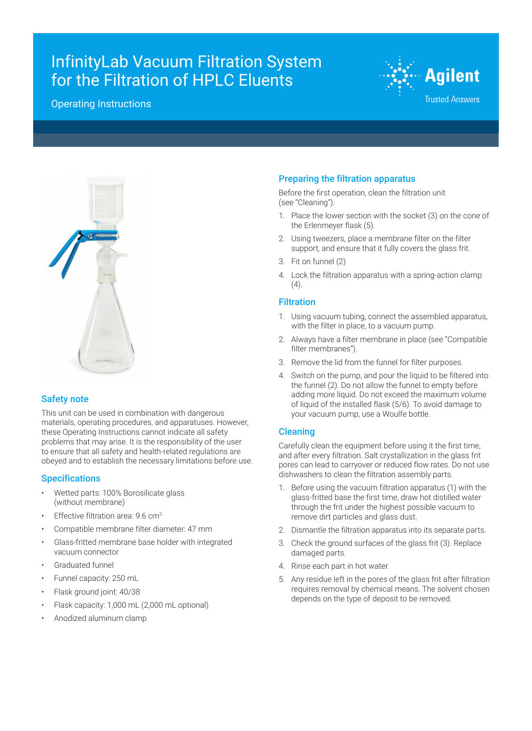# InfinityLab Vacuum Filtration System for the Filtration of HPLC Eluents

# Operating Instructions





### Safety note

This unit can be used in combination with dangerous materials, operating procedures, and apparatuses. However, these Operating Instructions cannot indicate all safety problems that may arise. It is the responsibility of the user to ensure that all safety and health-related regulations are obeyed and to establish the necessary limitations before use.

### **Specifications**

- Wetted parts: 100% Borosilicate glass (without membrane)
- Effective filtration area: 9.6 cm<sup>2</sup>
- Compatible membrane filter diameter: 47 mm
- Glass-fritted membrane base holder with integrated vacuum connector
- Graduated funnel
- Funnel capacity: 250 mL
- Flask ground joint: 40/38
- Flask capacity: 1,000 mL (2,000 mL optional)
- Anodized aluminum clamp

# Preparing the filtration apparatus

Before the first operation, clean the filtration unit (see "Cleaning").

- 1. Place the lower section with the socket (3) on the cone of the Erlenmeyer flask (5).
- 2. Using tweezers, place a membrane filter on the filter support, and ensure that it fully covers the glass frit.
- 3. Fit on funnel (2)
- 4. Lock the filtration apparatus with a spring-action clamp  $(4).$

# Filtration

- 1. Using vacuum tubing, connect the assembled apparatus, with the filter in place, to a vacuum pump.
- 2. Always have a filter membrane in place (see "Compatible filter membranes").
- 3. Remove the lid from the funnel for filter purposes.
- 4. Switch on the pump, and pour the liquid to be filtered into the funnel (2). Do not allow the funnel to empty before adding more liquid. Do not exceed the maximum volume of liquid of the installed flask (5/6). To avoid damage to your vacuum pump, use a Woulfe bottle.

#### Cleaning

Carefully clean the equipment before using it the first time, and after every filtration. Salt crystallization in the glass frit pores can lead to carryover or reduced flow rates. Do not use dishwashers to clean the filtration assembly parts.

- 1. Before using the vacuum filtration apparatus (1) with the glass-fritted base the first time, draw hot distilled water through the frit under the highest possible vacuum to remove dirt particles and glass dust.
- 2. Dismantle the filtration apparatus into its separate parts.
- 3. Check the ground surfaces of the glass frit (3). Replace damaged parts.
- 4. Rinse each part in hot water.
- 5. Any residue left in the pores of the glass frit after filtration requires removal by chemical means. The solvent chosen depends on the type of deposit to be removed.